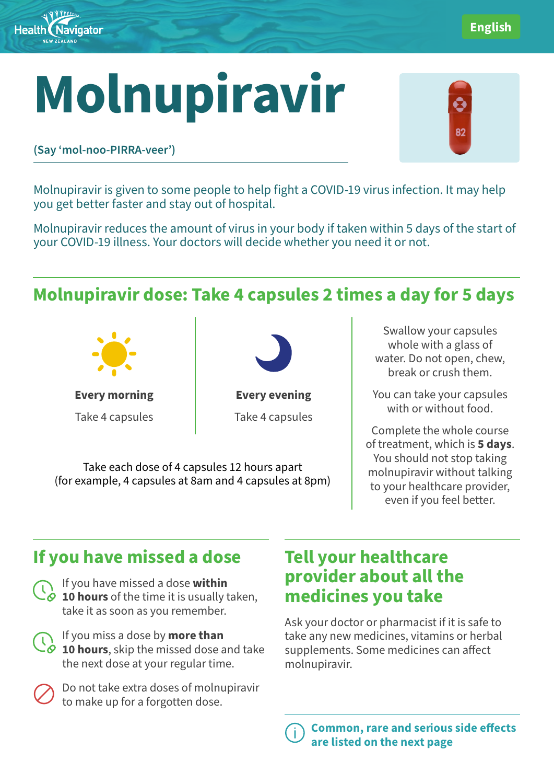

# **Molnupiravir**



English

**(Say 'mol-noo-PIRRA-veer')**

Molnupiravir is given to some people to help fight a COVID-19 virus infection. It may help you get better faster and stay out of hospital.

Molnupiravir reduces the amount of virus in your body if taken within 5 days of the start of your COVID-19 illness. Your doctors will decide whether you need it or not.

## **Molnupiravir dose: Take 4 capsules 2 times a day for 5 days**



**Every morning** Take 4 capsules



**Every evening** Take 4 capsules

Take each dose of 4 capsules 12 hours apart (for example, 4 capsules at 8am and 4 capsules at 8pm)

Swallow your capsules whole with a glass of water. Do not open, chew, break or crush them.

You can take your capsules with or without food.

Complete the whole course of treatment, which is **5 days**. You should not stop taking molnupiravir without talking to your healthcare provider, even if you feel better.

# **If you have missed a dose**

If you have missed a dose **within 10 hours** of the time it is usually taken, take it as soon as you remember.

If you miss a dose by **more than 10 hours**, skip the missed dose and take the next dose at your regular time.



Do not take extra doses of molnupiravir to make up for a forgotten dose.

### **Tell your healthcare provider about all the medicines you take**

Ask your doctor or pharmacist if it is safe to take any new medicines, vitamins or herbal supplements. Some medicines can affect molnupiravir.

Common, rare and serious side effects are listed on the next page